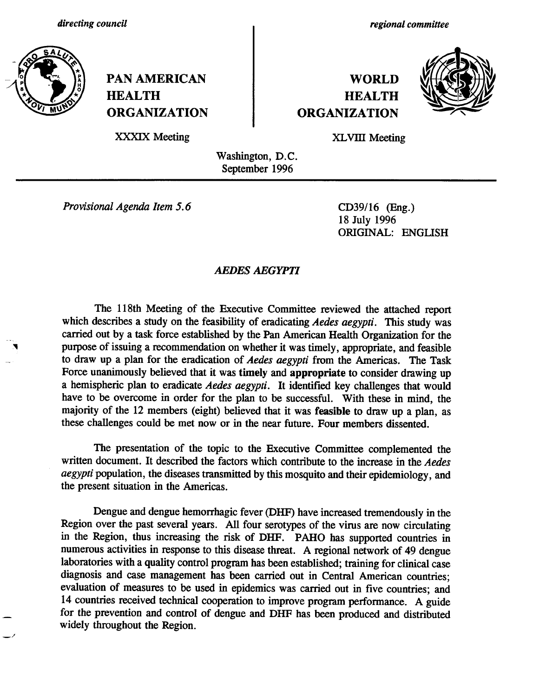

**PAN AMERICAN WORLD HEALTH HEALTH ORGANIZATION ORGANIZATION**

*regional committee*



XXXIX Meeting XLVIII Meeting

Washington, D.C. September 1996

*Provisional Agenda Item 5.6* CD39/16 (Eng.)

18 July 1996 ORIGINAL: ENGLISH

## *AEDES AEGYPTI*

The 118th Meeting of the Executive Committee reviewed the attached report which describes a study on the feasibility of eradicating *Aedes aegypti*. This study was carried out by a task force established by the Pan American Health Organization for the purpose of issuing a recommendation on whether it was timely, appropriate, and feasible to draw up a plan for the eradication of *Aedes aegypti* from the Americas. The Task Force unanimously believed that it was **timely** and **appropriate** to consider drawing up a hemispheric plan to eradicate *Aedes aegypti.* It identified key challenges that would have to be overcome in order for the plan to be successful. With these in mind, the majority of the 12 members (eight) believed that it was **feasible** to draw up a plan, as these challenges could be met now or in the near future. Four members dissented.

The presentation of the topic to the Executive Committee complemented the written document. It described the factors which contribute to the increase in the *Aedes aegypti* population, the diseases transmitted by this mosquito and their epidemiology, and the present situation in the Americas.

Dengue and dengue hemorrhagic fever (DHF) have increased tremendously in the Region over the past several years. All four serotypes of the virus are now circulating in the Region, thus increasing the risk of DHF. PAHO has supported countries in numerous activities in response to this disease threat. A regional network of 49 dengue laboratories with a quality control program has been established; training for clinical case diagnosis and case management has been carried out in Central American countries; evaluation of measures to be used in epidemics was carried out in five countries; and 14 countries received technical cooperation to improve program performance. A guide for the prevention and control of dengue and DHF has been produced and distributed widely throughout the Region.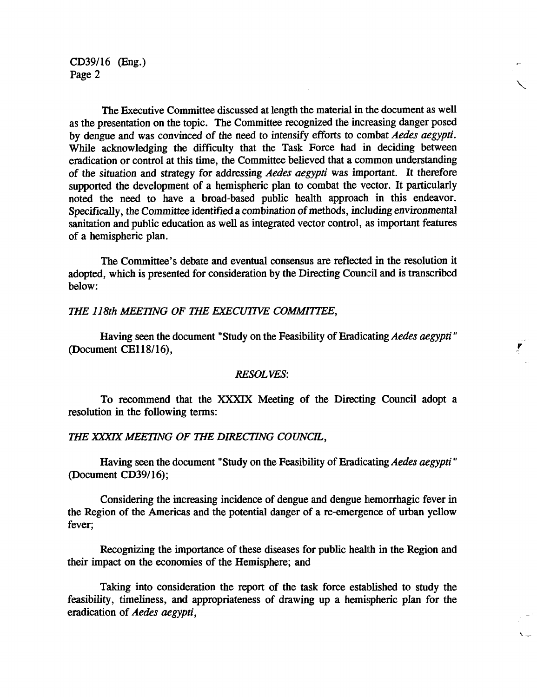CD39/16 (Eng.) Page 2

The Executive Committee discussed at length the material in the document as well as the presentation on the topic. The Committee recognized the increasing danger posed by dengue and was convinced of the need to intensify efforts to combat *Aedes aegypti.* While acknowledging the difficulty that the Task Force had in deciding between eradication or control at this time, the Committee believed that a common understanding of the situation and strategy for *addressing Aedes aegypti* was important. It therefore supported the development of a hemispheric plan to combat the vector. It particularly noted the need to have a broad-based public health approach in this endeavor. Specifically, the Committee identified a combination of methods, including environmental sanitation and public education as well as integrated vector control, as important features of a hemispheric plan.

The Committee's debate and eventual consensus are reflected in the resolution it adopted, which is presented for consideration by the Directing Council and is transcribed below:

#### *THE 118th MEETING OF THE EXECUTIVE COMMITTEE,*

Having seen the document "Study on the Feasibility of Eradicating *Aedes aegypti"* (Document CE118/16),

#### *RESOLVES:*

To recommend that the XXXIX Meeting of the Directing Council adopt a resolution in the following terms:

#### *THE XXXIX MEETING OF THE DIRECTING COUNCIL,*

Having seen the document "Study on the Feasibility of Eradicating *Aedes aegypti"* (Document CD39/16);

Considering the increasing incidence of dengue and dengue hemorrhagic fever in the Region of the Americas and the potential danger of a re-emergence of urban yellow fever;

Recognizing the importance of these diseases for public health in the Region and their impact on the economies of the Hemisphere; and

Taking into consideration the report of the task force established to study the feasibility, timeliness, and appropriateness of drawing up a hemispheric plan for the eradication of *Aedes aegypti,*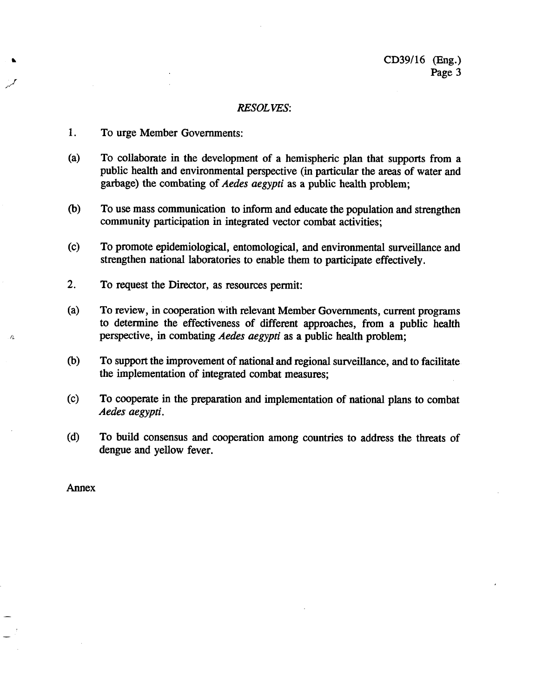#### *RESOLVES:*

- 1. To urge Member Governments:
- (a) To collaborate in the development of a hemispheric plan that supports from a public health and environmental perspective (in particular the areas of water and garbage) the combating of *Aedes aegypti* as a public health problem;
- (b) To use mass communication to inform and educate the population and strengthen community participation in integrated vector combat activities;
- (c) To promote epidemiological, entomological, and environmental surveillance and strengthen national laboratories to enable them to participate effectively.
- 2. To request the Director, as resources permit:
- (a) To review, in cooperation with relevant Member Governments, current programs to determine the effectiveness of different approaches, from a public health perspective, in combating *Aedes aegypti* as a public health problem;
- (b) To support the improvement of national and regional surveillance, and to facilitate the implementation of integrated combat measures;
- (c) To cooperate in the preparation and implementation of national plans to combat *Aedes aegypti.*
- (d) To build consensus and cooperation among countries to address the threats of dengue and yellow fever.

Annex

 $\hat{p}$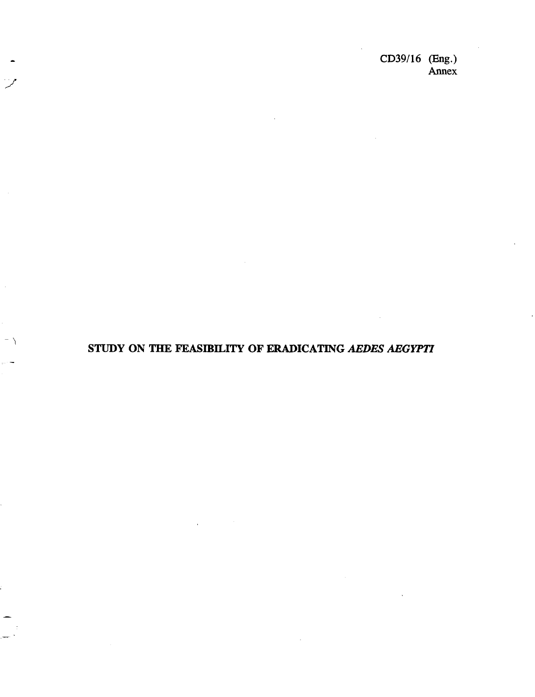CD39/16 (Eng.) Annex

# STUDY ON THE FEASIBILITY OF ERADICATING *AEDES AEGYPTI*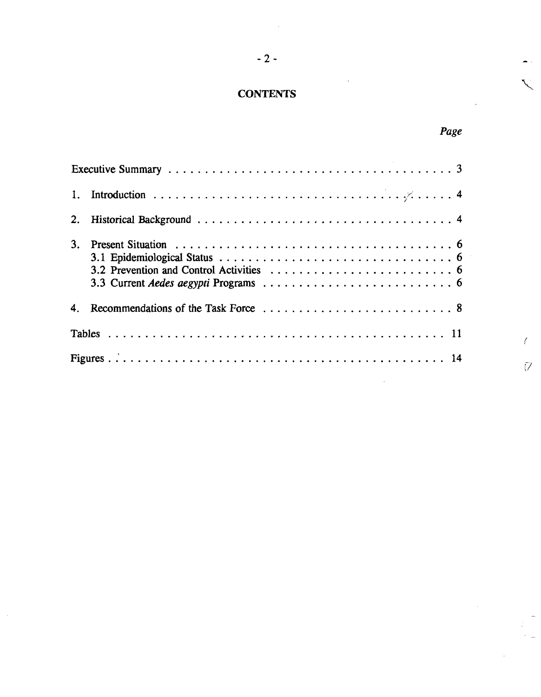# **CONTENTS**

-2-

| 1. |  |
|----|--|
|    |  |
| 3. |  |
|    |  |
|    |  |
|    |  |
|    |  |
|    |  |
|    |  |

*Page*

 $\bar{V}$ 

 $\sqrt{2}$ 

 $\sum_{i=1}^{n}$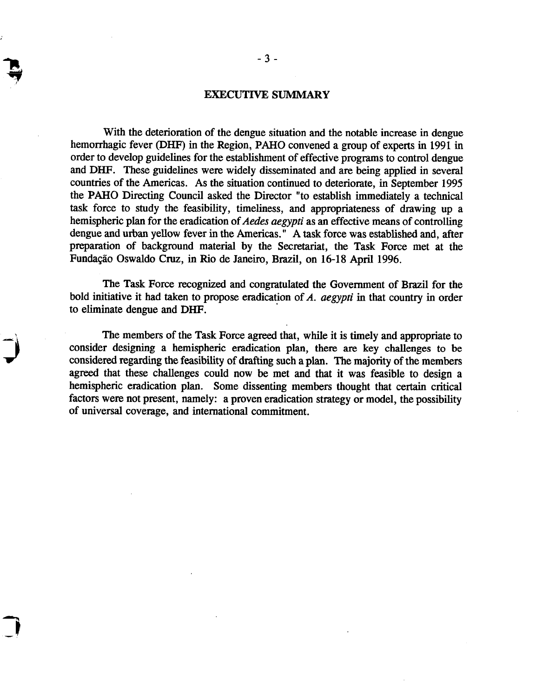#### EXECUTIVE SUMMARY

With the deterioration of the dengue situation and the notable increase in dengue hemorrhagic fever (DHF) in the Region, PAHO convened a group of experts in 1991 in order to develop guidelines for the establishment of effective programs to control dengue and DHF. These guidelines were widely disseminated and are being applied in several countries of the Americas. As the situation continued to deteriorate, in September 1995 the PAHO Directing Council asked the Director "to establish immediately a technical task force to study the feasibility, timeliness, and appropriateness of drawing up a hemispheric plan for the eradication *of Aedes aegypti* as an effective means of controlling dengue and urban yellow fever in the Americas. " A task force was established and, after preparation of background material by the Secretariat, the Task Force met at the Fundação Oswaldo Cruz, in Rio de Janeiro, Brazil, on 16-18 April 1996.

The Task Force recognized and congratulated the Government of Brazil for the bold initiative it had taken to propose eradication of *A. aegypti* in that country in order to eliminate dengue and DHF.

The members of the Task Force agreed that, while it is timely and appropriate to consider designing a hemispheric eradication plan, there are key challenges to be considered regarding the feasibility of drafting such a plan. The majority of the members agreed that these challenges could now be met and that it was feasible to design a hemispheric eradication plan. Some dissenting members thought that certain critical factors were not present, namely: a proven eradication strategy or model, the possibility of universal coverage, and international commitment.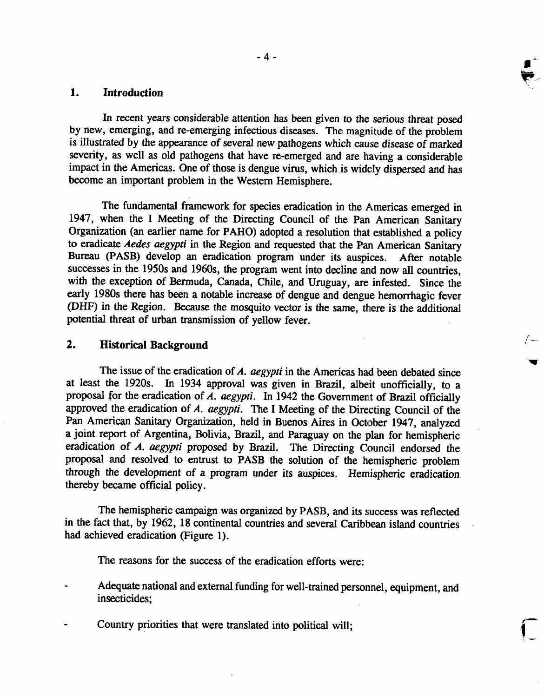### **1. Introduction**

In recent years considerable attention has been given to the serious threat posed<br>by new, emerging, and re-emerging infectious diseases. The magnitude of the problem<br>is illustrated by the appearance of several new pathogen severity, as well as old pathogens that have re-emerged and are having a considerable impact in the Americas. One of those is dengue virus, which is widely dispersed and has become an important problem in the Western Hemisphere.

The fundamental framework for species eradication in the Americas emerged in 1947, when the I Meeting of the Directing Council of the Pan American Sanitary Organization (an earlier name for PAHO) adopted a resolution that established a policy to eradicate *Aedes aegypti* in the Region and requested that the Pan American Sanitary Bureau (PASB) develop an eradication program under its auspices. After notable successes in the 1950s and 1960s, the program went into decline and now all countries, with the exception of Bermuda, Canada, Chile, and Uruguay, are infested. Since the early 1980s there has been a notable increase of dengue and dengue hemorrhagic fever (DHF) in the Region. Because the mosquito vector is the same, there is the additional potential threat of urban transmission of yellow fever.

#### **2. Historical Background**

The issue of the eradication of *A. aegypti* in the Americas had been debated since at least the 1920s. In 1934 approval was given in Brazil, albeit unofficially, to a proposal for the eradication of *A. aegypti.* In 1942 the Government of Brazil officially approved the eradication of *A. aegypti.* The I Meeting of the Directing Council of the Pan American Sanitary Organization, held in Buenos Aires in October 1947, analyzed a joint report of Argentina, Bolivia, Brazil, and Paraguay on the plan for hemispheric eradication of *A. aegypti* proposed by Brazil. The Directing Council endorsed the proposal and resolved to entrust to PASB the solution of the hemispheric problem through the development of a program under its auspices. Hemispheric eradication thereby became official policy.

The hemispheric campaign was organized by PASB, and its success was reflected in the fact that, by 1962, 18 continental countries and several Caribbean island countries had achieved eradication (Figure 1).

The reasons for the success of the eradication efforts were:

- Adequate national and external funding for well-trained personnel, equipment, and insecticides;
- Country priorities that were translated into political will;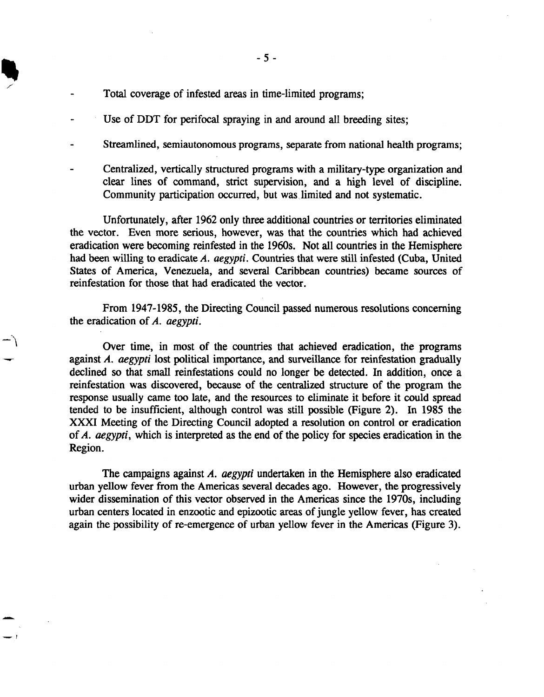- Total coverage of infested areas in time-limited programs;
- Use of DDT for perifocal spraying in and around all breeding sites;
- Streamlined, semiautonomous programs, separate from national health programs;
- Centralized, vertically structured programs with a military-type organization and clear lines of command, strict supervision, and a high level of discipline. Community participation occurred, but was limited and not systematic.

Unfortunately, after 1962 only three additional countries or territories eliminated the vector. Even more serious, however, was that the countries which had achieved eradication were becoming reinfested in the 1960s. Not all countries in the Hemisphere had been willing to eradicate *A. aegypti.* Countries that were still infested (Cuba, United States of America, Venezuela, and several Caribbean countries) became sources of reinfestation for those that had eradicated the vector.

From 1947-1985, the Directing Council passed numerous resolutions concerning the eradication of *A. aegypti.*

Over time, in most of the countries that achieved eradication, the programs against *A. aegypti* lost political importance, and surveillance for reinfestation gradually declined so that small reinfestations could no longer be detected. In addition, once a reinfestation was discovered, because of the centralized structure of the program the response usually came too late, and the resources to eliminate it before it could spread tended to be insufficient, although control was still possible (Figure 2). In 1985 the XXXI Meeting of the Directing Council adopted a resolution on control or eradication of *A. aegypti,* which is interpreted as the end of the policy for species eradication in the Region.

The campaigns against *A. aegypti* undertaken in the Hemisphere also eradicated urban yellow fever from the Americas several decades ago. However, the progressively wider dissemination of this vector observed in the Americas since the 1970s, including urban centers located in enzootic and epizootic areas of jungle yellow fever, has created again the possibility of re-emergence of urban yellow fever in the Americas (Figure 3).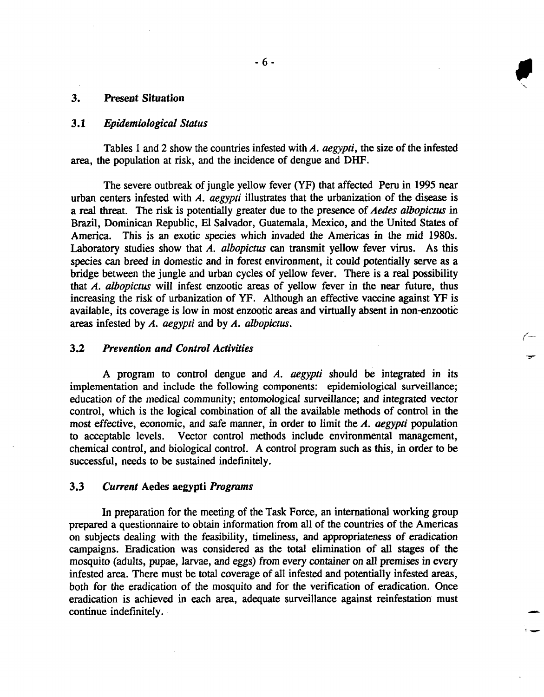#### *3.* **Present Situation**

#### *3.1 Epidemiological Status*

Tables I and 2 show the countries infested with *A. aegypti,* the size of the infested area, the population at risk, and the incidence of dengue and DHF.

The severe outbreak of jungle yellow fever (YF) that affected Peru in 1995 near urban centers infested with *A. aegypti* illustrates that the urbanization of the disease is a real threat. The risk is potentially greater due to the presence of *Aedes albopictus* in Brazil, Dominican Republic, El Salvador, Guatemala, Mexico, and the United States of America. This is an exotic species which invaded the Americas in the mid 1980s. Laboratory studies show that *A. albopictus* can transmit yellow fever virus. As this species can breed in domestic and in forest environment, it could potentially serve as a bridge between the jungle and urban cycles of yellow fever. There is a real possibility that *A. albopictus* will infest enzootic areas of yellow fever in the near future, thus increasing the risk of urbanization of YF. Although an effective vaccine against YF is available, its coverage is low in most enzootic areas and virtually absent in non-enzootic areas infested by *A. aegypti* and by *A. albopictus.*

#### **3.2** *Prevention and Control Activities*

A program to control dengue and *A. aegypti* should be integrated in its implementation and include the following components: epidemiological surveillance; education of the medical community; entomological surveillance; and integrated vector control, which is the logical combination of all the available methods of control in the most effective, economic, and safe manner, in order to limit the *A. aegypti* population to acceptable levels. Vector control methods include environmental management, chemical control, and biological control. A control program such as this, in order to be successful, needs to be sustained indefinitely.

#### 3.3 *Current* Aedes aegypti *Programs*

In preparation for the meeting of the Task Force, an international working group prepared a questionnaire to obtain information from all of the countries of the Americas on subjects dealing with the feasibility, timeliness, and appropriateness of eradication campaigns. Eradication was considered as the total elimination of all stages of the mosquito (adults, pupae, larvae, and eggs) from every container on all premises in every infested area. There must be total coverage of all infested and potentially infested areas, both for the eradication of the mosquito and for the verification of eradication. Once eradication is achieved in each area, adequate surveillance against reinfestation must continue indefinitely.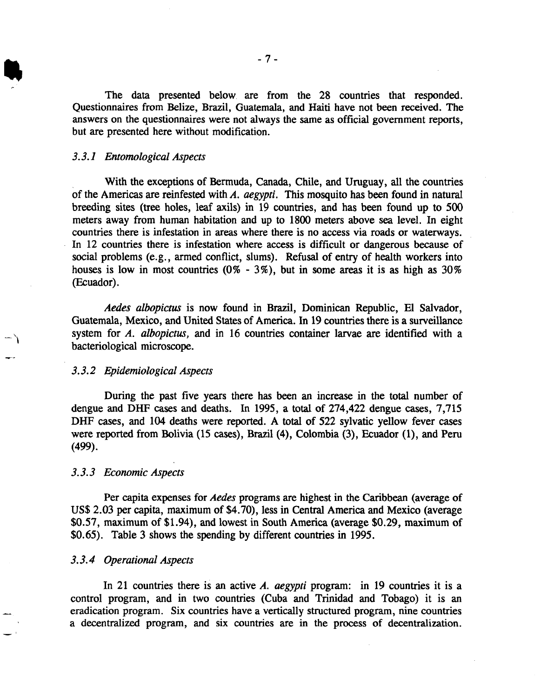The data presented below are from the 28 countries that responded. Questionnaires from Belize, Brazil, Guatemala, and Haiti have not been received. The answers on the questionnaires were not always the same as official government reports, but are presented here without modification.

#### *3.3.1 Entomological Aspects*

With the exceptions of Bermuda, Canada, Chile, and Uruguay, all the countries of the Americas are reinfested with *A. aegypti.* This mosquito has been found in natural breeding sites (tree holes, leaf axils) in 19 countries, and has been found up to 500 meters away from human habitation and up to 1800 meters above sea level. In eight countries there is infestation in areas where there is no access via roads or waterways. In 12 countries there is infestation where access is difficult or dangerous because of social problems (e.g., armed conflict, slums). Refusal of entry of health workers into houses is low in most countries  $(0\% - 3\%)$ , but in some areas it is as high as  $30\%$ (Ecuador).

*Aedes albopictus* is now found in Brazil, Dominican Republic, El Salvador, Guatemala, Mexico, and United States of America. In 19 countries there is a surveillance system for *A. albopictus,* and in 16 countries container larvae are identified with a bacteriological microscope.

#### *3.3.2 Epidemiological Aspects*

During the past five years there has been an increase in the total number of dengue and DHF cases and deaths. In 1995, a total of 274,422 dengue cases, 7,715 DHF cases, and 104 deaths were reported. A total of 522 sylvatic yellow fever cases were reported from Bolivia (15 cases), Brazil (4), Colombia (3), Ecuador (1), and Peru (499).

#### *3.3.3 Economic Aspects*

Per capita expenses for *Aedes* programs are highest in the Caribbean (average of US\$ 2.03 per capita, maximum of \$4.70), less in Central America and Mexico (average \$0.57, maximum of \$1.94), and lowest in South America (average \$0.29, maximum of \$0.65). Table 3 shows the spending by different countries in 1995.

#### *3.3.4 Operational Aspects*

In 21 countries there is an active *A. aegypti* program: in 19 countries it is a control program, and in two countries (Cuba and Trinidad and Tobago) it is an eradication program. Six countries have a vertically structured program, nine countries a decentralized program, and six countries are in the process of decentralization.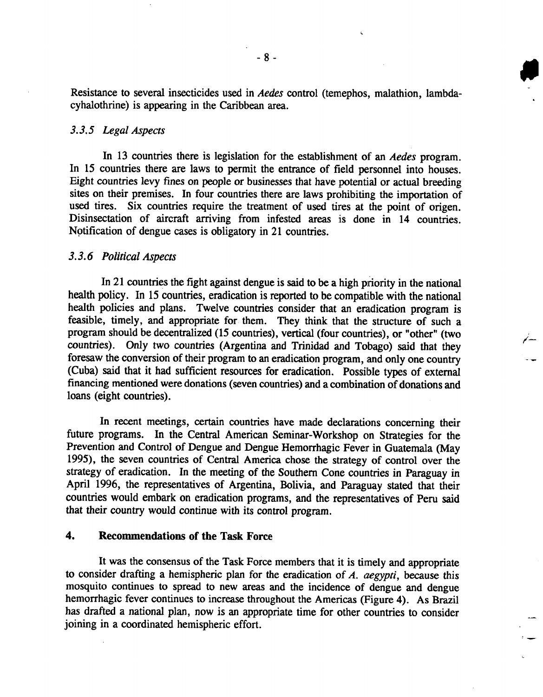Resistance to several insecticides used in *Aedes* control (temephos, malathion, lambdacyhalothrine) is appearing in the Caribbean area.

#### *3.3.5 Legal Aspects*

In 13 countries there is legislation for the establishment of an *Aedes* program. In 15 countries there are laws to permit the entrance of field personnel into houses. Eight countries levy fines on people or businesses that have potential or actual breeding sites on their premises. In four countries there are laws prohibiting the importation of used tires. Six countries require the treatment of used tires at the point of origen. Disinsectation of aircraft arriving from infested areas is done in 14 countries. Notification of dengue cases is obligatory in 21 countries.

#### *3.3.6 Political Aspects*

In 21 countries the fight against dengue is said to be a high priority in the national health policy. In 15 countries, eradication is reported to be compatible with the national health policies and plans. Twelve countries consider that an eradication program is feasible, timely, and appropriate for them. They think that the structure of such a program should be decentralized (15 countries), vertical (four countries), or "other" (two countries). Only two countries (Argentina and Trinidad and Tobago) said that they foresaw the conversion of their program to an eradication program, and only one country (Cuba) said that it had sufficient resources for eradication. Possible types of external financing mentioned were donations (seven countries) and a combination of donations and loans (eight countries).

In recent meetings, certain countries have made declarations concerning their future programs. In the Central American Seminar-Workshop on Strategies for the Prevention and Control of Dengue and Dengue Hemorrhagic Fever in Guatemala (May 1995), the seven countries of Central America chose the strategy of control over the strategy of eradication. In the meeting of the Southern Cone countries in Paraguay in April 1996, the representatives of Argentina, Bolivia, and Paraguay stated that their countries would embark on eradication programs, and the representatives of Peru said that their country would continue with its control program.

#### **4. Recommendations of the Task Force**

It was the consensus of the Task Force members that it is timely and appropriate to consider drafting a hemispheric plan for the eradication of *A. aegypti,* because this mosquito continues to spread to new areas and the incidence of dengue and dengue hemorrhagic fever continues to increase throughout the Americas (Figure 4). As Brazil has drafted a national plan, now is an appropriate time for other countries to consider joining in a coordinated hemispheric effort.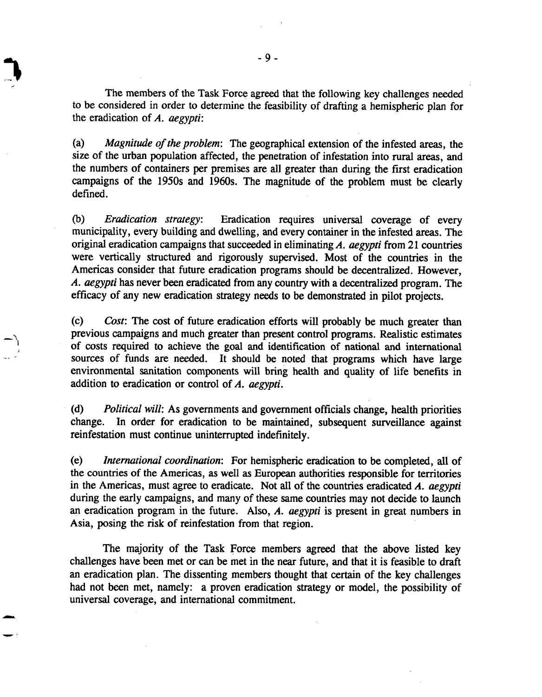The members of the Task Force agreed that the following key challenges needed to be considered in order to determine the feasibility of drafting a hemispheric plan for the eradication of *A. aegypti:*

(a) *Magnitude of the problem:* The geographical extension of the infested areas, the size of the urban population affected, the penetration of infestation into rural areas, and the numbers of containers per premises are all greater than during the first eradication campaigns of the 1950s and 1960s. The magnitude of the problem must be clearly defined.

(b) *Eradication strategy:* Eradication requires universal coverage of every municipality, every building and dwelling, and every container in the infested areas. The original eradication campaigns that succeeded in eliminating *A. aegypti* from 21 countries were vertically structured and rigorously supervised. Most of the countries in the Americas consider that future eradication programs should be decentralized. However, *A. aegypti* has never been eradicated from any country with a decentralized program. The efficacy of any new eradication strategy needs to be demonstrated in pilot projects.

(c) *Cost:* The cost of future eradication efforts will probably be much greater than previous campaigns and much greater than present control programs. Realistic estimates of costs required to achieve the goal and identification of national and international sources of funds are needed. It should be noted that programs which have large environmental sanitation components will bring health and quality of life benefits in addition to eradication or control of *A. aegypti.*

(d) *Political will:* As governments and government officials change, health priorities change. In order for eradication to be maintained, subsequent surveillance against reinfestation must continue uninterrupted indefinitely.

(e) *International coordination:* For hemispheric eradication to be completed, all of the countries of the Americas, as well as European authorities responsible for territories in the Americas, must agree to eradicate. Not all of the countries eradicated *A. aegypti* during the early campaigns, and many of these same countries may not decide to launch an eradication program in the future. Also, *A. aegypti* is present in great numbers in Asia, posing the risk of reinfestation from that region.

The majority of the Task Force members agreed that the above listed key challenges have been met or can be met in the near future, and that it is feasible to draft an eradication plan. The dissenting members thought that certain of the key challenges had not been met, namely: a proven eradication strategy or model, the possibility of universal coverage, and international commitment.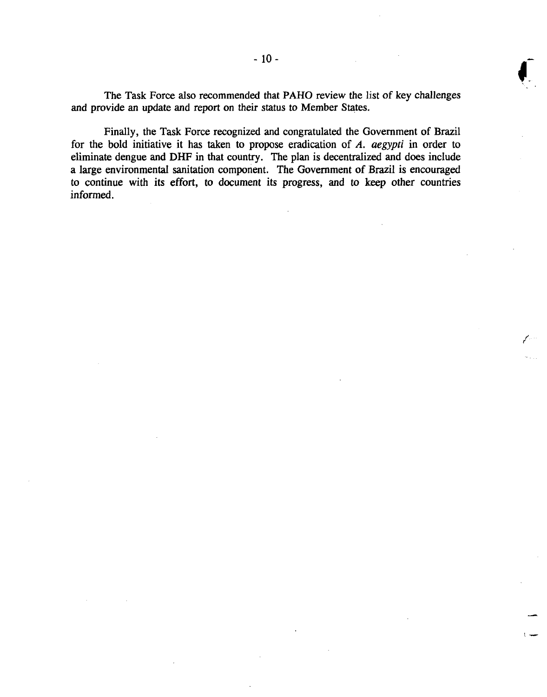The Task Force also recommended that PAHO review the list of key challenges *and* provide an update and report on their status to Member States.

Finally, the Task Force recognized and congratulated the Government of Brazil for the bold initiative it has taken to propose eradication of *A. aegypti* in order to eliminate dengue and DHF in that country. The plan is decentralized and does include a large environmental sanitation component. The Government of Brazil is encouraged to continue with its effort, to document its progress, and to keep other countries informed.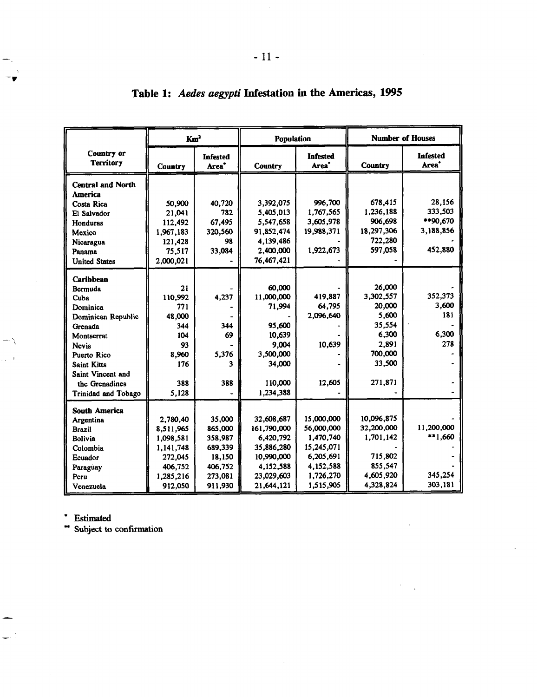| Km <sup>2</sup>                |                | <b>Population</b>                    |                | <b>Number of Houses</b>              |                |                                      |
|--------------------------------|----------------|--------------------------------------|----------------|--------------------------------------|----------------|--------------------------------------|
| Country or<br><b>Territory</b> | <b>Country</b> | <b>Infested</b><br>Area <sup>*</sup> | <b>Country</b> | <b>Infested</b><br>Area <sup>*</sup> | <b>Country</b> | <b>Infested</b><br>Area <sup>*</sup> |
| <b>Central and North</b>       |                |                                      |                |                                      |                |                                      |
| <b>America</b>                 |                |                                      |                |                                      |                |                                      |
| <b>Costa Rica</b>              | 50,900         | 40.720                               | 3.392.075      | 996.700                              | 678,415        | 28,156                               |
| El Salvador                    | 21,041         | 782                                  | 5,405,013      | 1.767,565                            | 1,236,188      | 333,503                              |
| Honduras                       | 112,492        | 67,495                               | 5,547,658      | 3,605,978                            | 906.698        | **90.670                             |
| Mexico                         | 1,967,183      | 320,560                              | 91,852,474     | 19,988,371                           | 18,297,306     | 3,188,856                            |
| Nicaragua                      | 121,428        | 98                                   | 4.139.486      |                                      | 722,280        |                                      |
| Panama                         | 75,517         | 33.084                               | 2,400,000      | 1,922,673                            | 597,058        | 452,880                              |
| <b>United States</b>           | 2,000,021      |                                      | 76,467,421     |                                      |                |                                      |
|                                |                |                                      |                |                                      |                |                                      |
| Caribbean                      |                |                                      | 60,000         |                                      | 26,000         |                                      |
| Bermuda                        | 21<br>110.992  | 4,237                                | 11,000,000     | 419,887                              | 3,302,557      | 352,373                              |
| Cuba<br>Dominica               | 771            |                                      | 71,994         | 64.795                               | 20,000         | 3,600                                |
| Dominican Republic             | 48,000         |                                      |                | 2.096.640                            | 5.600          | 181                                  |
| Grenada                        | 344            | 344                                  | 95,600         |                                      | 35,554         |                                      |
| Montserrat                     | 104            | 69                                   | 10.639         |                                      | 6,300          | 6,300                                |
| <b>Nevis</b>                   | 93             |                                      | 9,004          | 10,639                               | 2,891          | 278                                  |
| Puerto Rico                    | 8.960          | 5,376                                | 3,500,000      |                                      | 700,000        |                                      |
| <b>Saint Kitts</b>             | 176            | 3                                    | 34,000         |                                      | 33,500         |                                      |
| Saint Vincent and              |                |                                      |                |                                      |                |                                      |
| the Grenadines                 | 388            | 388                                  | 110,000        | 12,605                               | 271,871        |                                      |
| <b>Trinidad and Tobago</b>     | 5,128          |                                      | 1,234,388      |                                      |                |                                      |
|                                |                |                                      |                |                                      |                |                                      |
| <b>South America</b>           |                |                                      |                |                                      |                |                                      |
| Argentina                      | 2,780,40       | 35,000                               | 32,608,687     | 15,000,000                           | 10,096,875     |                                      |
| <b>Brazil</b>                  | 8,511,965      | 865,000                              | 161,790,000    | 56,000,000                           | 32,200,000     | 11.200.000                           |
| <b>Bolivia</b>                 | 1,098,581      | 358,987                              | 6,420,792      | 1.470,740                            | 1,701,142      | **1.660                              |
| Colombia                       | 1.141.748      | 689.339                              | 35,886,280     | 15,245,071                           |                |                                      |
| Ecuador                        | 272,045        | 18,150                               | 10,990,000     | 6,205,691                            | 715,802        |                                      |
| Paraguay                       | 406,752        | 406,752                              | 4,152,588      | 4,152,588                            | 855,547        |                                      |
| Peru                           | 1,285,216      | 273,081                              | 23,029,603     | 1,726,270                            | 4,605,920      | 345,254                              |
| Venezuela                      | 912,050        | 911,930                              | 21,644,121     | 1,515,905                            | 4,328,824      | 303,181                              |

 $\hat{\mathcal{C}}$ 

 $\Box$  $\ddot{\phantom{a}}$ 

# **Table 1:** *Aedes aegypti* **Infestation in the Americas, 1995**

\* Estimated

 $-1$  $\sim$ 

\* Subject to confirmation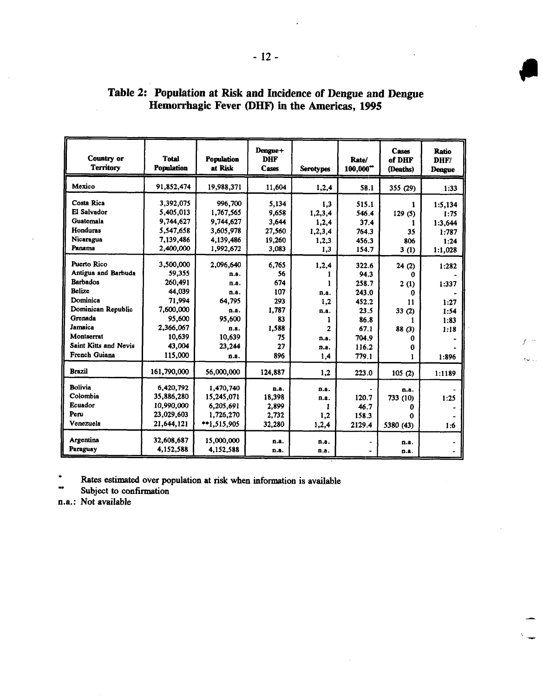| Country or<br>Territory                                                                                                                                                                       | <b>Total</b><br><b>Population</b>                                                                                     | <b>Population</b><br>at Risk                                                                      | Dengue+<br><b>DHF</b><br><b>Cases</b>                                       | <b>Serotypes</b>                                              | Rate/<br>$100.000$ <sup>**</sup>                                                            | Cases<br>of DHF<br>(Deaths)                                    | <b>Ratio</b><br>DHF/<br>Dengue                          |
|-----------------------------------------------------------------------------------------------------------------------------------------------------------------------------------------------|-----------------------------------------------------------------------------------------------------------------------|---------------------------------------------------------------------------------------------------|-----------------------------------------------------------------------------|---------------------------------------------------------------|---------------------------------------------------------------------------------------------|----------------------------------------------------------------|---------------------------------------------------------|
| Mexico                                                                                                                                                                                        | 91.852.474                                                                                                            | 19,988,371                                                                                        | 11.604                                                                      | 1,2,4                                                         | 58.1                                                                                        | 355 (29)                                                       | 1:33                                                    |
| Costa Rica<br>El Salvador<br>Guatemala<br><b>Honduras</b><br>Nicaragua                                                                                                                        | 3,392,075<br>5,405,013<br>9,744,627<br>5,547,658<br>7,139,486                                                         | 996,700<br>1,767,565<br>9,744,627<br>3,605,978<br>4,139,486                                       | 5.134<br>9,658<br>3.644<br>27,560<br>19,260                                 | 1.3<br>1,2,3,4<br>1,2,4<br>1, 2, 3, 4<br>1,2,3                | 515.1<br>546.4<br>37.4<br>764.3<br>456.3                                                    | 1<br>129(5)<br>L<br>35<br>806                                  | 1:5,134<br>1:75<br>1:3.644<br>1:787<br>1:24             |
| Panama                                                                                                                                                                                        | 2,400,000                                                                                                             | 1,992,672                                                                                         | 3,083                                                                       | 1.3                                                           | 154.7                                                                                       | 3(1)                                                           | 1:1.028                                                 |
| Puerto Rico<br>Antigua and Barbuda<br><b>Barbados</b><br><b>Belize</b><br>Dominica<br>Dominican Republic<br>Grenada<br>Jamaica<br>Montserrat<br><b>Saint Kitts and Nevis</b><br>French Guiana | 3,500,000<br>59,355<br>260,491<br>44.039<br>71,994<br>7,600,000<br>95,600<br>2,366,067<br>10,639<br>43,004<br>115,000 | 2.096.640<br>n.a.<br>n.a.<br>n.a.<br>64.795<br>n.a.<br>95.600<br>n.a.<br>10,639<br>23,244<br>n.a. | 6.765<br>56<br>674<br>107<br>293<br>1.787<br>83<br>1,588<br>75<br>27<br>896 | 1,2,4<br>n.a.<br>1.2<br>n.a.<br>1<br>2<br>n.a.<br>n.a.<br>1.4 | 322.6<br>94.3<br>258.7<br>243.0<br>452.2<br>23.5<br>86.8<br>67.1<br>704.9<br>116.2<br>779.1 | 24(2)<br>O<br>2(1)<br>0<br>11<br>33(2)<br>1<br>88(3)<br>0<br>0 | 1:282<br>1:337<br>1:27<br>1:54<br>1:83<br>1:18<br>1:896 |
| <b>Brazil</b>                                                                                                                                                                                 | 161,790,000                                                                                                           | 56,000,000                                                                                        | 124,887                                                                     | 1.2                                                           | 223.0                                                                                       | 105(2)                                                         | 1:1189                                                  |
| <b>Bolivia</b><br>Colombia<br>Ecuador<br>Peru<br>Venezuela                                                                                                                                    | 6,420,792<br>35,886,280<br>10,990,000<br>23,029,603<br>21,644,121                                                     | 1,470,740<br>15,245,071<br>6,205,691<br>1,726,270<br>**1,515,905                                  | n.a.<br>18,398<br>2,899<br>2.732<br>32.280                                  | n.a.<br>n.a.<br>1<br>1.2<br>1,2,4                             | 120.7<br>46.7<br>158.3<br>2129.4                                                            | n.a.<br>733 (10)<br>Ω<br>n<br>5380 (43)                        | 1:25<br>1:6                                             |
| Argentina<br>Paraguay                                                                                                                                                                         | 32,608,687<br>4,152,588                                                                                               | 15,000,000<br>4,152,588                                                                           | n.a.<br>n.a.                                                                | n.a.<br>n.a.                                                  |                                                                                             | n.a.<br>n.a.                                                   |                                                         |

# Table 2: Population at Risk and Incidence of Dengue and Dengue Hemorrhagic Fever (DHF) in the Americas, 1995

Rates estimated over population at risk when information is available

Subject to confirmation

n.a.: Not available

- 12-

p

 $\sim$   $\sim$   $-$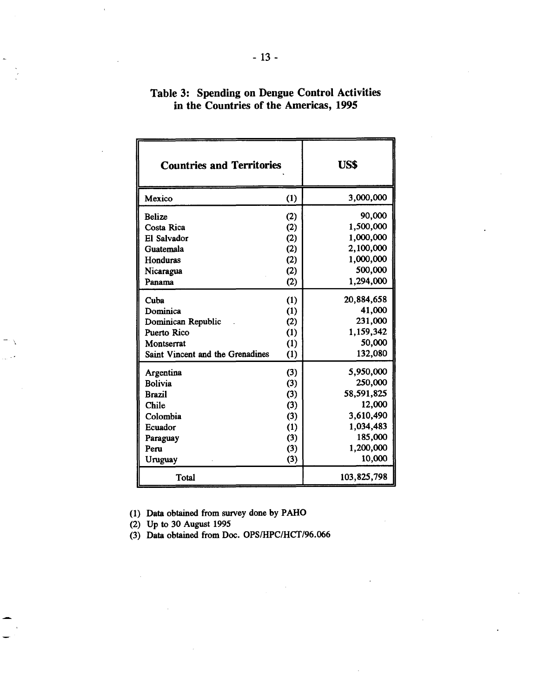| <b>Countries and Territories</b> | US\$ |             |  |
|----------------------------------|------|-------------|--|
| Mexico                           | (1)  | 3,000,000   |  |
| <b>Belize</b>                    | (2)  | 90,000      |  |
| Costa Rica                       | (2)  | 1,500,000   |  |
| El Salvador                      | (2)  | 1,000,000   |  |
| Guatemala                        | (2)  | 2,100,000   |  |
| Honduras                         | (2)  | 1,000,000   |  |
| Nicaragua                        | (2)  | 500,000     |  |
| Panama                           | (2)  | 1,294,000   |  |
| Cuba                             | (1)  | 20,884,658  |  |
| Dominica                         | (1)  | 41,000      |  |
| Dominican Republic               | (2)  | 231,000     |  |
| Puerto Rico                      | (1)  | 1,159,342   |  |
| Montserrat                       | (1)  | 50,000      |  |
| Saint Vincent and the Grenadines | (1)  | 132,080     |  |
| Argentina                        | (3)  | 5,950,000   |  |
| <b>Bolivia</b>                   | (3)  | 250,000     |  |
| <b>Brazil</b>                    | (3)  | 58,591,825  |  |
| <b>Chile</b>                     | (3)  | 12,000      |  |
| Colombia                         | (3)  | 3,610,490   |  |
| Ecuador                          | (1)  | 1,034,483   |  |
| Paraguay                         | (3)  | 185,000     |  |
| Peru                             | (3)  | 1,200,000   |  |
| Uruguay                          | (3)  | 10,000      |  |
| Total                            |      | 103,825,798 |  |

# **Table 3: Spending on Dengue Control Activities in the Countries of the Americas, 1995**

Data obtained from survey done by PAHO (1)

Up to 30 August 1995 (2)

Data obtained from Doc. OPS/HPC/HCT/96.066 (3)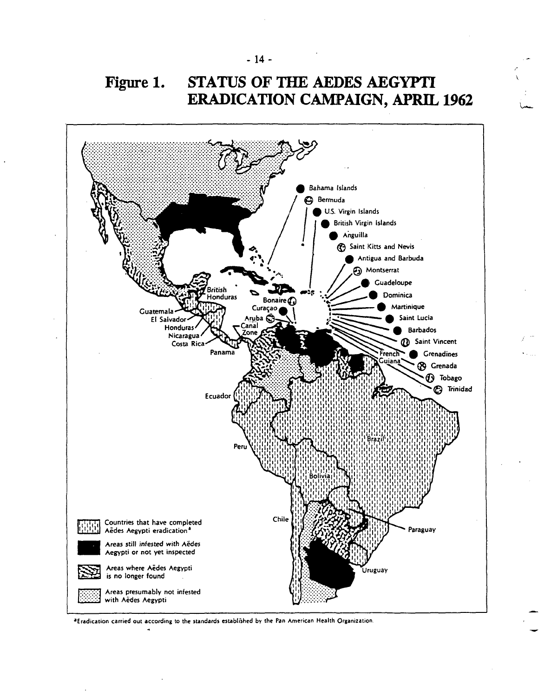



<sup>&</sup>lt;sup>a</sup>Eradication carried out according to the standards established by the Pan American Health Organization.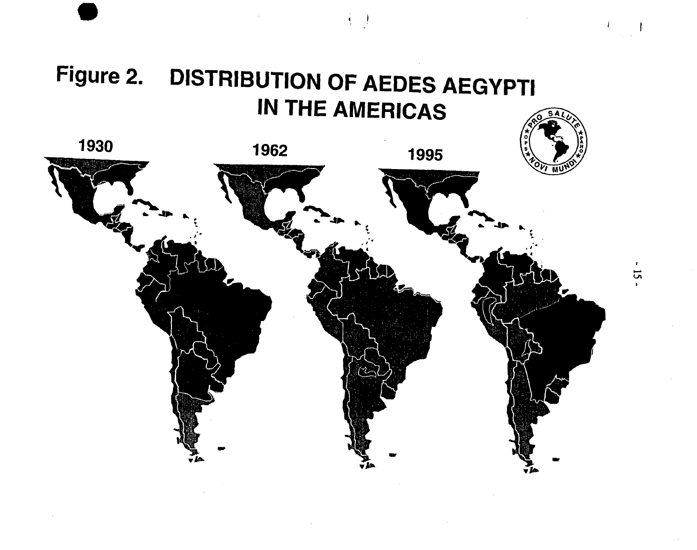# Figure 2. DISTRIBUTION OF AEDES AEGYPTI **IN THE AMERICAS**

 $\left( \cdot \right)$ 

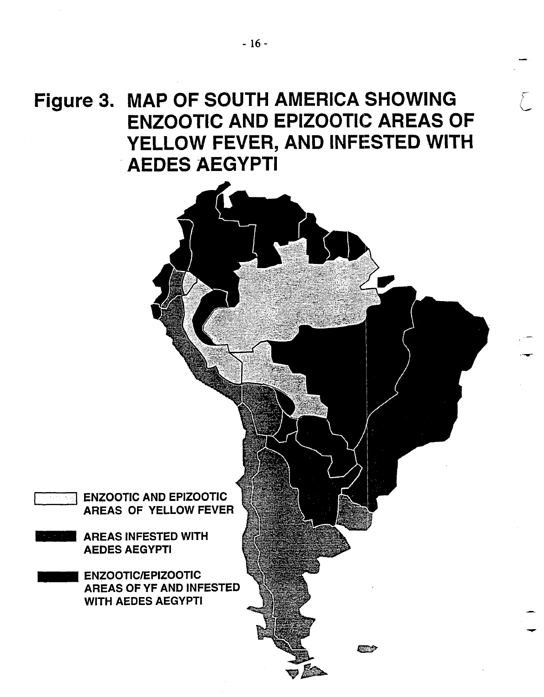**Figure 3. MAP OF SOUTH AMERICA SHOWING ENZOOTIC AND EPIZOOTIC AREAS OF YELLOW FEVER, AND INFESTED WITH AEDES AEGYPTI**

> - Dec.<br>1992 - Carolina Carolina (n. 1892).<br>1992 - Carolina Carolina (n. 1892). -v ON

Fan Y

L

ENZOOTIC AND EPIZOOTIC AREAS OF YELLOW FEVER

- AREAS INFESTED WITH AEDES AEGYPTI
- ENZOOTIC/EPIZOOTIC AREAS OF YF AND INFESTED WITH AEDES AEGYPTI